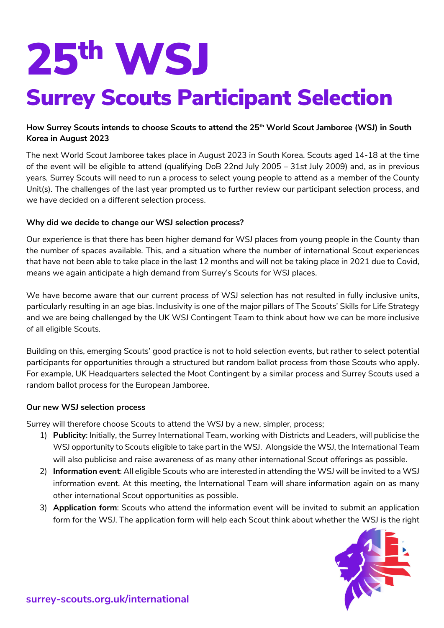# 25th WSJ

## Surrey Scouts Participant Selection

### **How Surrey Scouts intends to choose Scouts to attend the 25th World Scout Jamboree (WSJ) in South Korea in August 2023**

The next World Scout Jamboree takes place in August 2023 in South Korea. Scouts aged 14-18 at the time of the event will be eligible to attend (qualifying DoB 22nd July 2005 – 31st July 2009) and, as in previous years, Surrey Scouts will need to run a process to select young people to attend as a member of the County Unit(s). The challenges of the last year prompted us to further review our participant selection process, and we have decided on a different selection process.

#### **Why did we decide to change our WSJ selection process?**

Our experience is that there has been higher demand for WSJ places from young people in the County than the number of spaces available. This, and a situation where the number of international Scout experiences that have not been able to take place in the last 12 months and will not be taking place in 2021 due to Covid, means we again anticipate a high demand from Surrey's Scouts for WSJ places.

We have become aware that our current process of WSJ selection has not resulted in fully inclusive units, particularly resulting in an age bias. Inclusivity is one of the major pillars of The Scouts' Skills for Life Strategy and we are being challenged by the UK WSJ Contingent Team to think about how we can be more inclusive of all eligible Scouts.

Building on this, emerging Scouts' good practice is not to hold selection events, but rather to select potential participants for opportunities through a structured but random ballot process from those Scouts who apply. For example, UK Headquarters selected the Moot Contingent by a similar process and Surrey Scouts used a random ballot process for the European Jamboree.

#### **Our new WSJ selection process**

Surrey will therefore choose Scouts to attend the WSJ by a new, simpler, process;

- 1) **Publicity**: Initially, the Surrey International Team, working with Districts and Leaders, will publicise the WSJ opportunity to Scouts eligible to take part in the WSJ. Alongside the WSJ, the International Team will also publicise and raise awareness of as many other international Scout offerings as possible.
- 2) **Information event**: All eligible Scouts who are interested in attending the WSJ will be invited to a WSJ information event. At this meeting, the International Team will share information again on as many other international Scout opportunities as possible.
- 3) **Application form**: Scouts who attend the information event will be invited to submit an application form for the WSJ. The application form will help each Scout think about whether the WSJ is the right